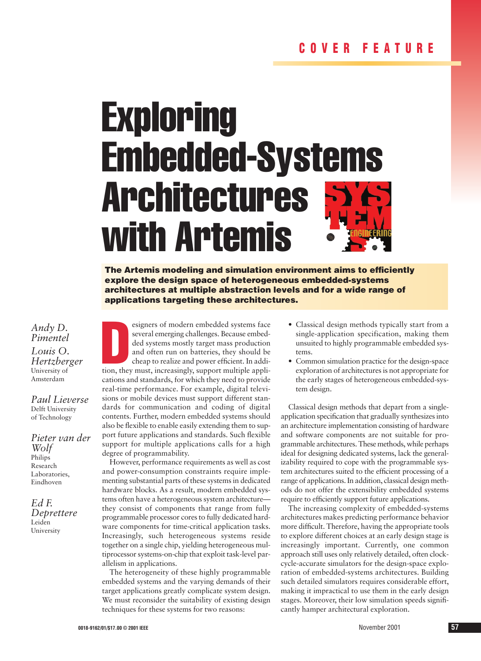# **Exploring** Embedded-Systems Architectures with Artemis

The Artemis modeling and simulation environment aims to efficiently explore the design space of heterogeneous embedded-systems architectures at multiple abstraction levels and for a wide range of applications targeting these architectures.

*Andy D. Pimentel Louis O. Hertzberger*  University of Amsterdam

*Paul Lieverse* Delft University of Technology

*Pieter van der Wolf* Philips Research Laboratories, Eindhoven

*Ed F. Deprettere* Leiden University

esigners of modern embedded systems face<br>
several emerging challenges. Because embed-<br>
ded systems mostly target mass production<br>
and often run on batteries, they should be<br>
cheap to realize and power efficient. In addi-<br> esigners of modern embedded systems face several emerging challenges. Because embedded systems mostly target mass production and often run on batteries, they should be cheap to realize and power efficient. In addications and standards, for which they need to provide real-time performance. For example, digital televisions or mobile devices must support different standards for communication and coding of digital contents. Further, modern embedded systems should also be flexible to enable easily extending them to support future applications and standards. Such flexible support for multiple applications calls for a high degree of programmability.

However, performance requirements as well as cost and power-consumption constraints require implementing substantial parts of these systems in dedicated hardware blocks. As a result, modern embedded systems often have a heterogeneous system architecture they consist of components that range from fully programmable processor cores to fully dedicated hardware components for time-critical application tasks. Increasingly, such heterogeneous systems reside together on a single chip, yielding heterogeneous multiprocessor systems-on-chip that exploit task-level parallelism in applications.

The heterogeneity of these highly programmable embedded systems and the varying demands of their target applications greatly complicate system design. We must reconsider the suitability of existing design techniques for these systems for two reasons:

- Classical design methods typically start from a single-application specification, making them unsuited to highly programmable embedded systems.
- Common simulation practice for the design-space exploration of architectures is not appropriate for the early stages of heterogeneous embedded-system design.

Classical design methods that depart from a singleapplication specification that gradually synthesizes into an architecture implementation consisting of hardware and software components are not suitable for programmable architectures. These methods, while perhaps ideal for designing dedicated systems, lack the generalizability required to cope with the programmable system architectures suited to the efficient processing of a range of applications. In addition, classical design methods do not offer the extensibility embedded systems require to efficiently support future applications.

The increasing complexity of embedded-systems architectures makes predicting performance behavior more difficult. Therefore, having the appropriate tools to explore different choices at an early design stage is increasingly important. Currently, one common approach still uses only relatively detailed, often clockcycle-accurate simulators for the design-space exploration of embedded-systems architectures. Building such detailed simulators requires considerable effort, making it impractical to use them in the early design stages. Moreover, their low simulation speeds significantly hamper architectural exploration.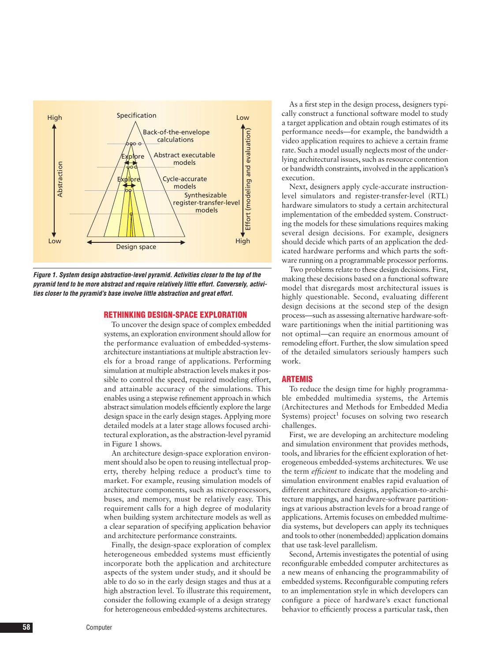

*Figure 1. System design abstraction-level pyramid. Activities closer to the top of the pyramid tend to be more abstract and require relatively little effort. Conversely, activities closer to the pyramid's base involve little abstraction and great effort.*

#### **RETHINKING DESIGN-SPACE EXPLORATION**

To uncover the design space of complex embedded systems, an exploration environment should allow for the performance evaluation of embedded-systemsarchitecture instantiations at multiple abstraction levels for a broad range of applications. Performing simulation at multiple abstraction levels makes it possible to control the speed, required modeling effort, and attainable accuracy of the simulations. This enables using a stepwise refinement approach in which abstract simulation models efficiently explore the large design space in the early design stages. Applying more detailed models at a later stage allows focused architectural exploration, as the abstraction-level pyramid in Figure 1 shows.

An architecture design-space exploration environment should also be open to reusing intellectual property, thereby helping reduce a product's time to market. For example, reusing simulation models of architecture components, such as microprocessors, buses, and memory, must be relatively easy. This requirement calls for a high degree of modularity when building system architecture models as well as a clear separation of specifying application behavior and architecture performance constraints.

Finally, the design-space exploration of complex heterogeneous embedded systems must efficiently incorporate both the application and architecture aspects of the system under study, and it should be able to do so in the early design stages and thus at a high abstraction level. To illustrate this requirement, consider the following example of a design strategy for heterogeneous embedded-systems architectures.

As a first step in the design process, designers typically construct a functional software model to study a target application and obtain rough estimates of its performance needs—for example, the bandwidth a video application requires to achieve a certain frame rate. Such a model usually neglects most of the underlying architectural issues, such as resource contention or bandwidth constraints, involved in the application's execution.

Next, designers apply cycle-accurate instructionlevel simulators and register-transfer-level (RTL) hardware simulators to study a certain architectural implementation of the embedded system. Constructing the models for these simulations requires making several design decisions. For example, designers should decide which parts of an application the dedicated hardware performs and which parts the software running on a programmable processor performs.

Two problems relate to these design decisions. First, making these decisions based on a functional software model that disregards most architectural issues is highly questionable. Second, evaluating different design decisions at the second step of the design process—such as assessing alternative hardware-software partitionings when the initial partitioning was not optimal—can require an enormous amount of remodeling effort. Further, the slow simulation speed of the detailed simulators seriously hampers such work.

## **ARTEMIS**

To reduce the design time for highly programmable embedded multimedia systems, the Artemis (Architectures and Methods for Embedded Media Systems) project<sup>1</sup> focuses on solving two research challenges.

First, we are developing an architecture modeling and simulation environment that provides methods, tools, and libraries for the efficient exploration of heterogeneous embedded-systems architectures. We use the term *efficient* to indicate that the modeling and simulation environment enables rapid evaluation of different architecture designs, application-to-architecture mappings, and hardware-software partitionings at various abstraction levels for a broad range of applications. Artemis focuses on embedded multimedia systems, but developers can apply its techniques and tools to other (nonembedded) application domains that use task-level parallelism.

Second, Artemis investigates the potential of using reconfigurable embedded computer architectures as a new means of enhancing the programmability of embedded systems. Reconfigurable computing refers to an implementation style in which developers can configure a piece of hardware's exact functional behavior to efficiently process a particular task, then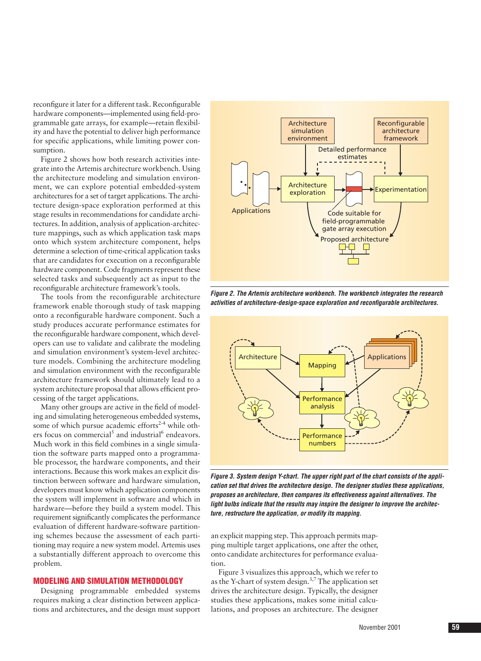reconfigure it later for a different task. Reconfigurable hardware components—implemented using field-programmable gate arrays, for example—retain flexibility and have the potential to deliver high performance for specific applications, while limiting power consumption.

Figure 2 shows how both research activities integrate into the Artemis architecture workbench. Using the architecture modeling and simulation environment, we can explore potential embedded-system architectures for a set of target applications. The architecture design-space exploration performed at this stage results in recommendations for candidate architectures. In addition, analysis of application-architecture mappings, such as which application task maps onto which system architecture component, helps determine a selection of time-critical application tasks that are candidates for execution on a reconfigurable hardware component. Code fragments represent these selected tasks and subsequently act as input to the reconfigurable architecture framework's tools.

The tools from the reconfigurable architecture framework enable thorough study of task mapping onto a reconfigurable hardware component. Such a study produces accurate performance estimates for the reconfigurable hardware component, which developers can use to validate and calibrate the modeling and simulation environment's system-level architecture models. Combining the architecture modeling and simulation environment with the reconfigurable architecture framework should ultimately lead to a system architecture proposal that allows efficient processing of the target applications.

Many other groups are active in the field of modeling and simulating heterogeneous embedded systems, some of which pursue academic efforts<sup>2-4</sup> while others focus on commercial<sup>5</sup> and industrial<sup>6</sup> endeavors. Much work in this field combines in a single simulation the software parts mapped onto a programmable processor, the hardware components, and their interactions. Because this work makes an explicit distinction between software and hardware simulation, developers must know which application components the system will implement in software and which in hardware—before they build a system model. This requirement significantly complicates the performance evaluation of different hardware-software partitioning schemes because the assessment of each partitioning may require a new system model. Artemis uses a substantially different approach to overcome this problem.

# **MODELING AND SIMULATION METHODOLOGY**

Designing programmable embedded systems requires making a clear distinction between applications and architectures, and the design must support



*Figure 2. The Artemis architecture workbench. The workbench integrates the research activities of architecture-design-space exploration and reconfigurable architectures.*



*Figure 3. System design Y-chart. The upper right part of the chart consists of the application set that drives the architecture design. The designer studies these applications, proposes an architecture, then compares its effectiveness against alternatives. The light bulbs indicate that the results may inspire the designer to improve the architecture, restructure the application, or modify its mapping.*

an explicit mapping step. This approach permits mapping multiple target applications, one after the other, onto candidate architectures for performance evaluation.

Figure 3 visualizes this approach, which we refer to as the Y-chart of system design.<sup>3,7</sup> The application set drives the architecture design. Typically, the designer studies these applications, makes some initial calculations, and proposes an architecture. The designer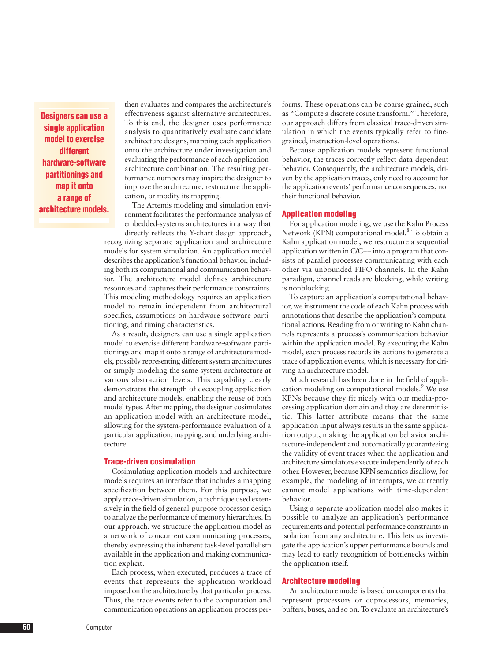**Designers can use a single application model to exercise different hardware-software partitionings and map it onto a range of architecture models.**

then evaluates and compares the architecture's effectiveness against alternative architectures. To this end, the designer uses performance analysis to quantitatively evaluate candidate architecture designs, mapping each application onto the architecture under investigation and evaluating the performance of each applicationarchitecture combination. The resulting performance numbers may inspire the designer to improve the architecture, restructure the application, or modify its mapping.

The Artemis modeling and simulation environment facilitates the performance analysis of embedded-systems architectures in a way that directly reflects the Y-chart design approach,

recognizing separate application and architecture models for system simulation. An application model describes the application's functional behavior, including both its computational and communication behavior. The architecture model defines architecture resources and captures their performance constraints. This modeling methodology requires an application model to remain independent from architectural specifics, assumptions on hardware-software partitioning, and timing characteristics.

As a result, designers can use a single application model to exercise different hardware-software partitionings and map it onto a range of architecture models, possibly representing different system architectures or simply modeling the same system architecture at various abstraction levels. This capability clearly demonstrates the strength of decoupling application and architecture models, enabling the reuse of both model types. After mapping, the designer cosimulates an application model with an architecture model, allowing for the system-performance evaluation of a particular application, mapping, and underlying architecture.

#### **Trace-driven cosimulation**

Cosimulating application models and architecture models requires an interface that includes a mapping specification between them. For this purpose, we apply trace-driven simulation, a technique used extensively in the field of general-purpose processor design to analyze the performance of memory hierarchies. In our approach, we structure the application model as a network of concurrent communicating processes, thereby expressing the inherent task-level parallelism available in the application and making communication explicit.

Each process, when executed, produces a trace of events that represents the application workload imposed on the architecture by that particular process. Thus, the trace events refer to the computation and communication operations an application process performs. These operations can be coarse grained, such as "Compute a discrete cosine transform." Therefore, our approach differs from classical trace-driven simulation in which the events typically refer to finegrained, instruction-level operations.

Because application models represent functional behavior, the traces correctly reflect data-dependent behavior. Consequently, the architecture models, driven by the application traces, only need to account for the application events' performance consequences, not their functional behavior.

### **Application modeling**

For application modeling, we use the Kahn Process Network (KPN) computational model.<sup>8</sup> To obtain a Kahn application model, we restructure a sequential application written in C/C++ into a program that consists of parallel processes communicating with each other via unbounded FIFO channels. In the Kahn paradigm, channel reads are blocking, while writing is nonblocking.

To capture an application's computational behavior, we instrument the code of each Kahn process with annotations that describe the application's computational actions. Reading from or writing to Kahn channels represents a process's communication behavior within the application model. By executing the Kahn model, each process records its actions to generate a trace of application events, which is necessary for driving an architecture model.

Much research has been done in the field of application modeling on computational models.<sup>9</sup> We use KPNs because they fit nicely with our media-processing application domain and they are deterministic. This latter attribute means that the same application input always results in the same application output, making the application behavior architecture-independent and automatically guaranteeing the validity of event traces when the application and architecture simulators execute independently of each other. However, because KPN semantics disallow, for example, the modeling of interrupts, we currently cannot model applications with time-dependent behavior.

Using a separate application model also makes it possible to analyze an application's performance requirements and potential performance constraints in isolation from any architecture. This lets us investigate the application's upper performance bounds and may lead to early recognition of bottlenecks within the application itself.

## **Architecture modeling**

An architecture model is based on components that represent processors or coprocessors, memories, buffers, buses, and so on. To evaluate an architecture's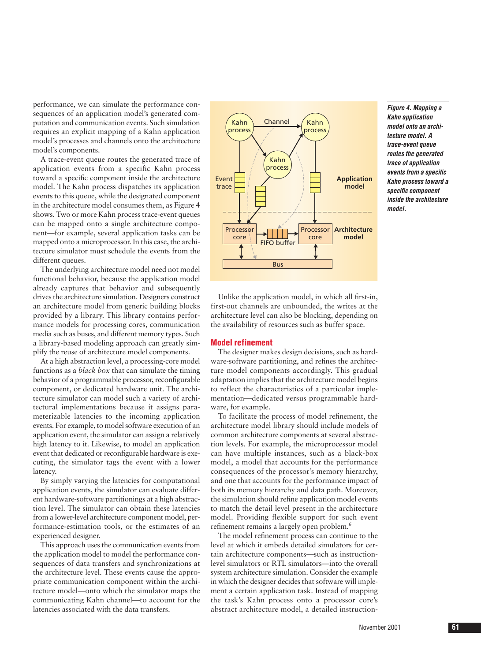performance, we can simulate the performance consequences of an application model's generated computation and communication events. Such simulation requires an explicit mapping of a Kahn application model's processes and channels onto the architecture model's components.

A trace-event queue routes the generated trace of application events from a specific Kahn process toward a specific component inside the architecture model. The Kahn process dispatches its application events to this queue, while the designated component in the architecture model consumes them, as Figure 4 shows. Two or more Kahn process trace-event queues can be mapped onto a single architecture component—for example, several application tasks can be mapped onto a microprocessor. In this case, the architecture simulator must schedule the events from the different queues.

The underlying architecture model need not model functional behavior, because the application model already captures that behavior and subsequently drives the architecture simulation. Designers construct an architecture model from generic building blocks provided by a library. This library contains performance models for processing cores, communication media such as buses, and different memory types. Such a library-based modeling approach can greatly simplify the reuse of architecture model components.

At a high abstraction level, a processing-core model functions as a *black box* that can simulate the timing behavior of a programmable processor, reconfigurable component, or dedicated hardware unit. The architecture simulator can model such a variety of architectural implementations because it assigns parameterizable latencies to the incoming application events. For example, to model software execution of an application event, the simulator can assign a relatively high latency to it. Likewise, to model an application event that dedicated or reconfigurable hardware is executing, the simulator tags the event with a lower latency.

By simply varying the latencies for computational application events, the simulator can evaluate different hardware-software partitionings at a high abstraction level. The simulator can obtain these latencies from a lower-level architecture component model, performance-estimation tools, or the estimates of an experienced designer.

This approach uses the communication events from the application model to model the performance consequences of data transfers and synchronizations at the architecture level. These events cause the appropriate communication component within the architecture model—onto which the simulator maps the communicating Kahn channel—to account for the latencies associated with the data transfers.



*Figure 4. Mapping a Kahn application model onto an architecture model. A trace-event queue routes the generated trace of application events from a specific Kahn process toward a specific component inside the architecture model.* 

Unlike the application model, in which all first-in, first-out channels are unbounded, the writes at the architecture level can also be blocking, depending on the availability of resources such as buffer space.

# **Model refinement**

The designer makes design decisions, such as hardware-software partitioning, and refines the architecture model components accordingly. This gradual adaptation implies that the architecture model begins to reflect the characteristics of a particular implementation—dedicated versus programmable hardware, for example.

To facilitate the process of model refinement, the architecture model library should include models of common architecture components at several abstraction levels. For example, the microprocessor model can have multiple instances, such as a black-box model, a model that accounts for the performance consequences of the processor's memory hierarchy, and one that accounts for the performance impact of both its memory hierarchy and data path. Moreover, the simulation should refine application model events to match the detail level present in the architecture model. Providing flexible support for such event refinement remains a largely open problem.<sup>6</sup>

The model refinement process can continue to the level at which it embeds detailed simulators for certain architecture components—such as instructionlevel simulators or RTL simulators—into the overall system architecture simulation. Consider the example in which the designer decides that software will implement a certain application task. Instead of mapping the task's Kahn process onto a processor core's abstract architecture model, a detailed instruction-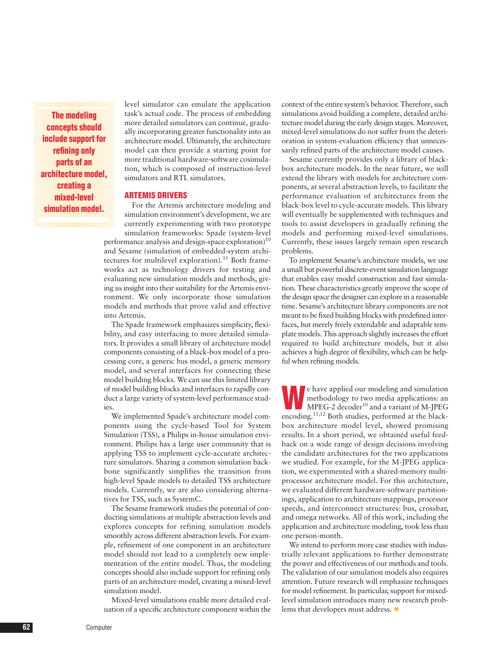**The modeling concepts should include support for refining only parts of an architecture model, creating a mixed-level simulation model.**

level simulator can emulate the application task's actual code. The process of embedding more detailed simulators can continue, gradually incorporating greater functionality into an architecture model. Ultimately, the architecture model can then provide a starting point for more traditional hardware-software cosimulation, which is composed of instruction-level simulators and RTL simulators.

#### **ARTEMIS DRIVERS**

For the Artemis architecture modeling and simulation environment's development, we are currently experimenting with two prototype simulation frameworks: Spade (system-level

performance analysis and design-space exploration)<sup>10</sup> and Sesame (simulation of embedded-system architectures for multilevel exploration).<sup>11</sup> Both frameworks act as technology drivers for testing and evaluating new simulation models and methods, giving us insight into their suitability for the Artemis environment. We only incorporate those simulation models and methods that prove valid and effective into Artemis.

The Spade framework emphasizes simplicity, flexibility, and easy interfacing to more detailed simulators. It provides a small library of architecture model components consisting of a black-box model of a processing core, a generic bus model, a generic memory model, and several interfaces for connecting these model building blocks. We can use this limited library of model building blocks and interfaces to rapidly conduct a large variety of system-level performance studies.

We implemented Spade's architecture model components using the cycle-based Tool for System Simulation (TSS), a Philips in-house simulation environment. Philips has a large user community that is applying TSS to implement cycle-accurate architecture simulators. Sharing a common simulation backbone significantly simplifies the transition from high-level Spade models to detailed TSS architecture models. Currently, we are also considering alternatives for TSS, such as SystemC.

The Sesame framework studies the potential of conducting simulations at multiple abstraction levels and explores concepts for refining simulation models smoothly across different abstraction levels. For example, refinement of one component in an architecture model should not lead to a completely new implementation of the entire model. Thus, the modeling concepts should also include support for refining only parts of an architecture model, creating a mixed-level simulation model.

Mixed-level simulations enable more detailed evaluation of a specific architecture component within the context of the entire system's behavior. Therefore, such simulations avoid building a complete, detailed architecture model during the early design stages. Moreover, mixed-level simulations do not suffer from the deterioration in system-evaluation efficiency that unnecessarily refined parts of the architecture model causes.

Sesame currently provides only a library of blackbox architecture models. In the near future, we will extend the library with models for architecture components, at several abstraction levels, to facilitate the performance evaluation of architectures from the black-box level to cycle-accurate models. This library will eventually be supplemented with techniques and tools to assist developers in gradually refining the models and performing mixed-level simulations. Currently, these issues largely remain open research problems.

To implement Sesame's architecture models, we use a small but powerful discrete-event simulation language that enables easy model construction and fast simulation. These characteristics greatly improve the scope of the design space the designer can explore in a reasonable time. Sesame's architecture library components are not meant to be fixed building blocks with predefined interfaces, but merely freely extendable and adaptable template models. This approach slightly increases the effort required to build architecture models, but it also achieves a high degree of flexibility, which can be helpful when refining models.

**We have applied our modeling and simulation**<br>
MPEG-2 decoder<sup>10</sup> and a variant of M-JPEG<br>
encoding <sup>11,12</sup> Both studies, performed at the blackmethodology to two media applications: an encoding.<sup>11,12</sup> Both studies, performed at the blackbox architecture model level, showed promising results. In a short period, we obtained useful feedback on a wide range of design decisions involving the candidate architectures for the two applications we studied. For example, for the M-JPEG application, we experimented with a shared-memory multiprocessor architecture model. For this architecture, we evaluated different hardware-software partitionings, application to architecture mappings, processor speeds, and interconnect structures: bus, crossbar, and omega networks. All of this work, including the application and architecture modeling, took less than one person-month.

We intend to perform more case studies with industrially relevant applications to further demonstrate the power and effectiveness of our methods and tools. The validation of our simulation models also requires attention. Future research will emphasize techniques for model refinement. In particular, support for mixedlevel simulation introduces many new research problems that developers must address.  $*$